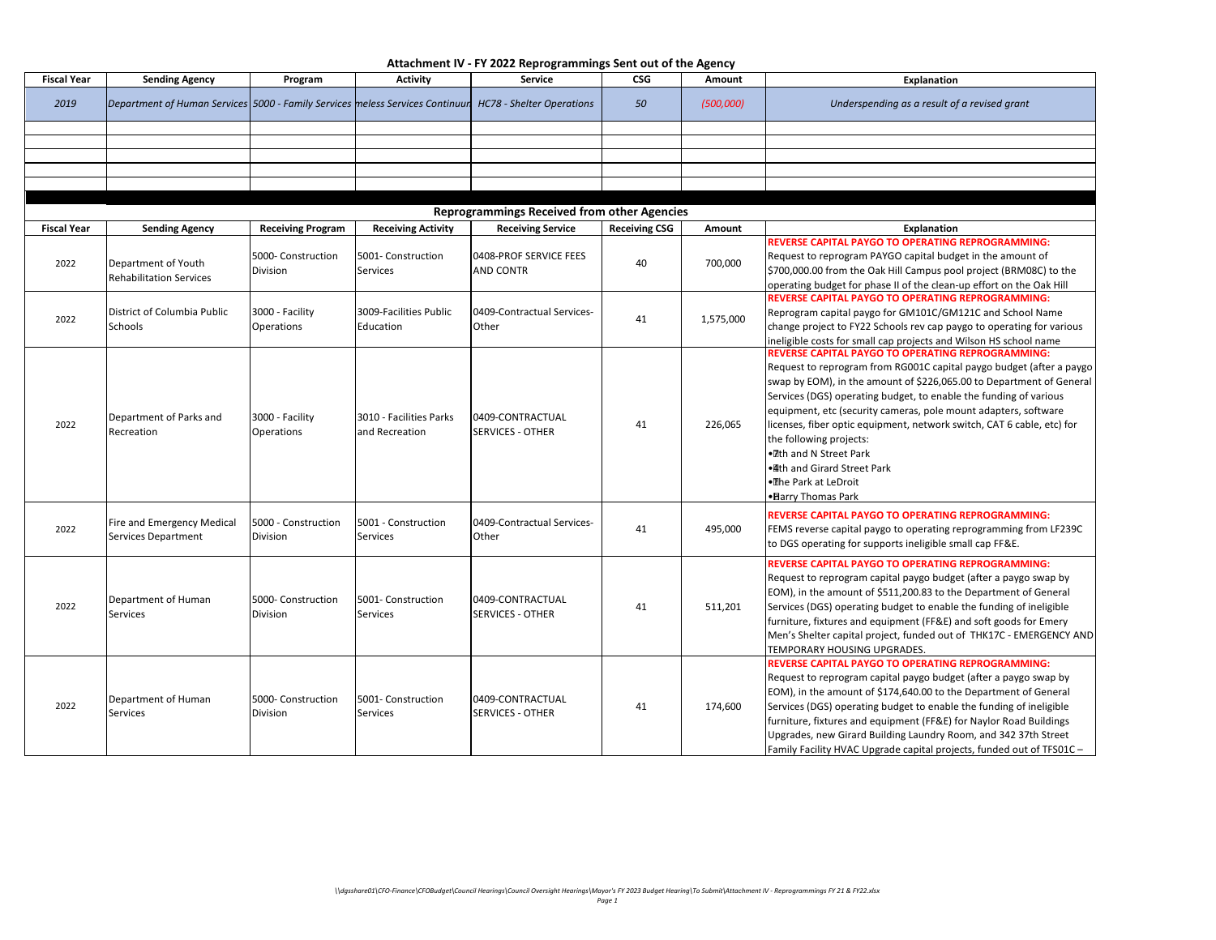| Attachment IV - FY 2022 Reprogrammings Sent out of the Agency |                                                                                                          |                                 |                                           |                                             |                      |           |                                                                                                                                                                                                                                                                                                                                                                                                                                                                                                                                                          |  |
|---------------------------------------------------------------|----------------------------------------------------------------------------------------------------------|---------------------------------|-------------------------------------------|---------------------------------------------|----------------------|-----------|----------------------------------------------------------------------------------------------------------------------------------------------------------------------------------------------------------------------------------------------------------------------------------------------------------------------------------------------------------------------------------------------------------------------------------------------------------------------------------------------------------------------------------------------------------|--|
| <b>Fiscal Year</b>                                            | <b>Sending Agency</b>                                                                                    | Program                         | <b>Activity</b>                           | Service                                     | <b>CSG</b>           | Amount    | Explanation                                                                                                                                                                                                                                                                                                                                                                                                                                                                                                                                              |  |
| 2019                                                          | Department of Human Services 5000 - Family Services meless Services Continuuri HC78 - Shelter Operations |                                 |                                           |                                             | 50                   | (500,000) | Underspending as a result of a revised grant                                                                                                                                                                                                                                                                                                                                                                                                                                                                                                             |  |
|                                                               |                                                                                                          |                                 |                                           |                                             |                      |           |                                                                                                                                                                                                                                                                                                                                                                                                                                                                                                                                                          |  |
|                                                               |                                                                                                          |                                 |                                           |                                             |                      |           |                                                                                                                                                                                                                                                                                                                                                                                                                                                                                                                                                          |  |
|                                                               |                                                                                                          |                                 |                                           |                                             |                      |           |                                                                                                                                                                                                                                                                                                                                                                                                                                                                                                                                                          |  |
|                                                               |                                                                                                          |                                 |                                           |                                             |                      |           |                                                                                                                                                                                                                                                                                                                                                                                                                                                                                                                                                          |  |
|                                                               |                                                                                                          |                                 |                                           |                                             |                      |           |                                                                                                                                                                                                                                                                                                                                                                                                                                                                                                                                                          |  |
|                                                               |                                                                                                          |                                 |                                           | Reprogrammings Received from other Agencies |                      |           |                                                                                                                                                                                                                                                                                                                                                                                                                                                                                                                                                          |  |
| <b>Fiscal Year</b>                                            | <b>Sending Agency</b>                                                                                    | <b>Receiving Program</b>        | <b>Receiving Activity</b>                 | <b>Receiving Service</b>                    | <b>Receiving CSG</b> | Amount    | <b>Explanation</b>                                                                                                                                                                                                                                                                                                                                                                                                                                                                                                                                       |  |
| 2022                                                          | Department of Youth<br><b>Rehabilitation Services</b>                                                    | 5000- Construction<br>Division  | 5001- Construction<br>Services            | 0408-PROF SERVICE FEES<br><b>AND CONTR</b>  | 40                   | 700,000   | <b>REVERSE CAPITAL PAYGO TO OPERATING REPROGRAMMING:</b><br>Request to reprogram PAYGO capital budget in the amount of<br>\$700,000.00 from the Oak Hill Campus pool project (BRM08C) to the<br>operating budget for phase II of the clean-up effort on the Oak Hill                                                                                                                                                                                                                                                                                     |  |
| 2022                                                          | District of Columbia Public<br>Schools                                                                   | 3000 - Facility<br>Operations   | 3009-Facilities Public<br>Education       | 0409-Contractual Services-<br>Other         | 41                   | 1,575,000 | REVERSE CAPITAL PAYGO TO OPERATING REPROGRAMMING:<br>Reprogram capital paygo for GM101C/GM121C and School Name<br>change project to FY22 Schools rev cap paygo to operating for various<br>ineligible costs for small cap projects and Wilson HS school name                                                                                                                                                                                                                                                                                             |  |
| 2022                                                          | Department of Parks and<br>Recreation                                                                    | 3000 - Facility<br>Operations   | 3010 - Facilities Parks<br>and Recreation | 0409-CONTRACTUAL<br><b>SERVICES - OTHER</b> | 41                   | 226,065   | REVERSE CAPITAL PAYGO TO OPERATING REPROGRAMMING:<br>Request to reprogram from RG001C capital paygo budget (after a paygo<br>swap by EOM), in the amount of \$226,065.00 to Department of General<br>Services (DGS) operating budget, to enable the funding of various<br>equipment, etc (security cameras, pole mount adapters, software<br>licenses, fiber optic equipment, network switch, CAT 6 cable, etc) for<br>the following projects:<br>·Zth and N Street Park<br>• ath and Girard Street Park<br>. The Park at LeDroit<br>• Barry Thomas Park |  |
| 2022                                                          | Fire and Emergency Medical<br>Services Department                                                        | 5000 - Construction<br>Division | 5001 - Construction<br>Services           | 0409-Contractual Services-<br>Other         | 41                   | 495,000   | REVERSE CAPITAL PAYGO TO OPERATING REPROGRAMMING:<br>FEMS reverse capital paygo to operating reprogramming from LF239C<br>to DGS operating for supports ineligible small cap FF&E.                                                                                                                                                                                                                                                                                                                                                                       |  |
| 2022                                                          | Department of Human<br>Services                                                                          | 5000- Construction<br>Division  | 5001- Construction<br>Services            | 0409-CONTRACTUAL<br><b>SERVICES - OTHER</b> | 41                   | 511,201   | <b>REVERSE CAPITAL PAYGO TO OPERATING REPROGRAMMING:</b><br>Request to reprogram capital paygo budget (after a paygo swap by<br>EOM), in the amount of \$511,200.83 to the Department of General<br>Services (DGS) operating budget to enable the funding of ineligible<br>furniture, fixtures and equipment (FF&E) and soft goods for Emery<br>Men's Shelter capital project, funded out of THK17C - EMERGENCY AND<br>TEMPORARY HOUSING UPGRADES.                                                                                                       |  |
| 2022                                                          | Department of Human<br>Services                                                                          | 5000- Construction<br>Division  | 5001- Construction<br>Services            | 0409-CONTRACTUAL<br><b>SERVICES - OTHER</b> | 41                   | 174,600   | REVERSE CAPITAL PAYGO TO OPERATING REPROGRAMMING:<br>Request to reprogram capital paygo budget (after a paygo swap by<br>EOM), in the amount of \$174,640.00 to the Department of General<br>Services (DGS) operating budget to enable the funding of ineligible<br>furniture, fixtures and equipment (FF&E) for Naylor Road Buildings<br>Upgrades, new Girard Building Laundry Room, and 342 37th Street<br>Family Facility HVAC Upgrade capital projects, funded out of TFS01C -                                                                       |  |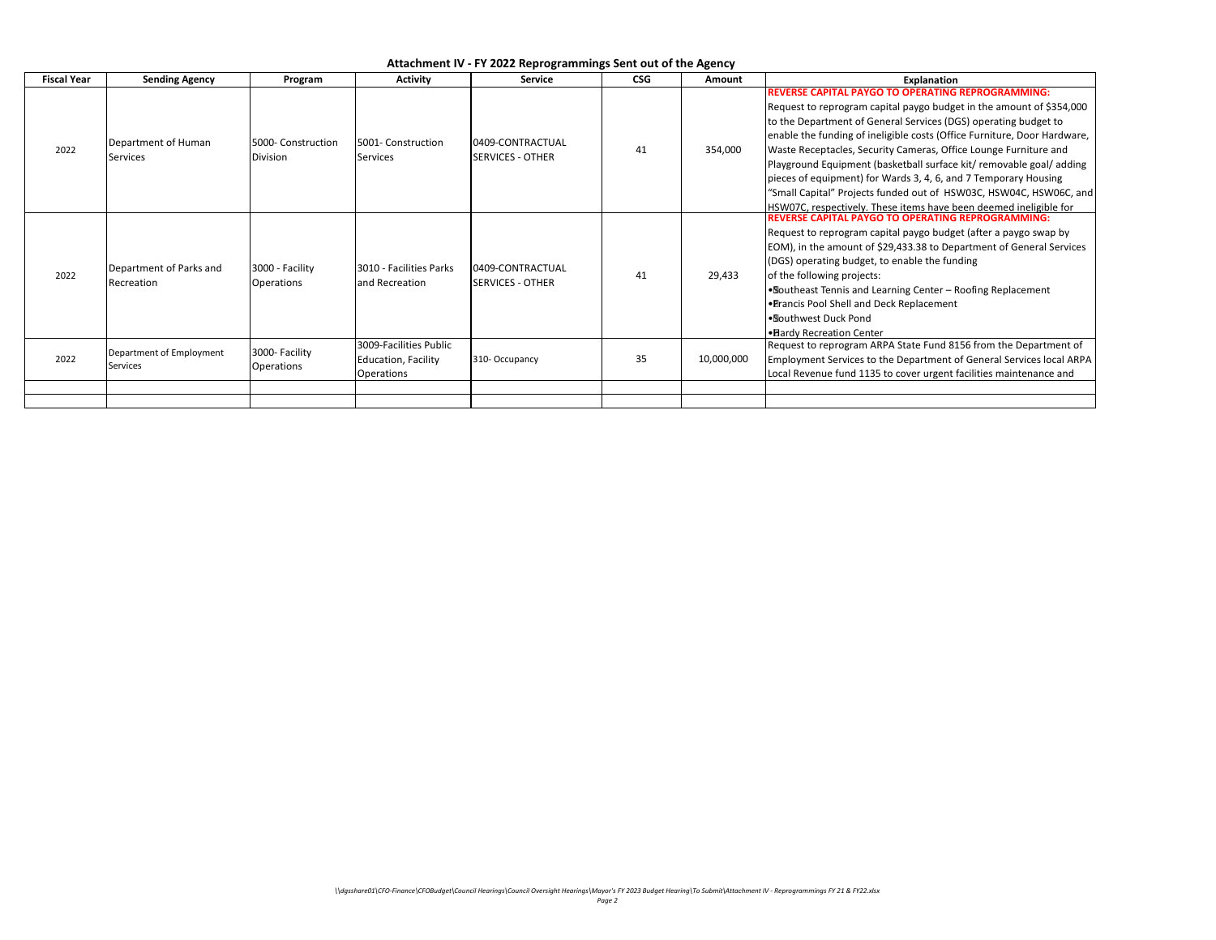| Attachment IV - FY 2022 Reprogrammings Sent out of the Agency |                                       |                                       |                                           |                                             |            |            |                                                                          |
|---------------------------------------------------------------|---------------------------------------|---------------------------------------|-------------------------------------------|---------------------------------------------|------------|------------|--------------------------------------------------------------------------|
| <b>Fiscal Year</b>                                            | <b>Sending Agency</b>                 | Program                               | <b>Activity</b>                           | Service                                     | <b>CSG</b> | Amount     | Explanation                                                              |
| 2022                                                          | Department of Human<br>Services       | 5000- Construction<br><b>Division</b> | 5001- Construction<br>Services            | 0409-CONTRACTUAL<br><b>SERVICES - OTHER</b> | 41         |            | <b>REVERSE CAPITAL PAYGO TO OPERATING REPROGRAMMING:</b>                 |
|                                                               |                                       |                                       |                                           |                                             |            | 354,000    | Request to reprogram capital paygo budget in the amount of \$354,000     |
|                                                               |                                       |                                       |                                           |                                             |            |            | to the Department of General Services (DGS) operating budget to          |
|                                                               |                                       |                                       |                                           |                                             |            |            | enable the funding of ineligible costs (Office Furniture, Door Hardware, |
|                                                               |                                       |                                       |                                           |                                             |            |            | Waste Receptacles, Security Cameras, Office Lounge Furniture and         |
|                                                               |                                       |                                       |                                           |                                             |            |            | Playground Equipment (basketball surface kit/removable goal/adding       |
|                                                               |                                       |                                       |                                           |                                             |            |            | pieces of equipment) for Wards 3, 4, 6, and 7 Temporary Housing          |
|                                                               |                                       |                                       |                                           |                                             |            |            | "Small Capital" Projects funded out of HSW03C, HSW04C, HSW06C, and       |
|                                                               |                                       |                                       |                                           |                                             |            |            | HSW07C, respectively. These items have been deemed ineligible for        |
| 2022                                                          | Department of Parks and<br>Recreation | 3000 - Facility<br><b>Operations</b>  | 3010 - Facilities Parks<br>and Recreation | 0409-CONTRACTUAL<br><b>SERVICES - OTHER</b> | 41         | 29,433     | REVERSE CAPITAL PAYGO TO OPFRATING REPROGRAMMING:                        |
|                                                               |                                       |                                       |                                           |                                             |            |            | Request to reprogram capital paygo budget (after a paygo swap by         |
|                                                               |                                       |                                       |                                           |                                             |            |            | EOM), in the amount of \$29,433.38 to Department of General Services     |
|                                                               |                                       |                                       |                                           |                                             |            |            | (DGS) operating budget, to enable the funding                            |
|                                                               |                                       |                                       |                                           |                                             |            |            | of the following projects:                                               |
|                                                               |                                       |                                       |                                           |                                             |            |            | . Southeast Tennis and Learning Center - Roofing Replacement             |
|                                                               |                                       |                                       |                                           |                                             |            |            | . Francis Pool Shell and Deck Replacement                                |
|                                                               |                                       |                                       |                                           |                                             |            |            | . Southwest Duck Pond                                                    |
|                                                               |                                       |                                       |                                           |                                             |            |            | • Bardy Recreation Center                                                |
| 2022                                                          | Department of Employment<br>Services  | 3000- Facility<br><b>Operations</b>   | 3009-Facilities Public                    | 310-Occupancy                               | 35         | 10,000,000 | Request to reprogram ARPA State Fund 8156 from the Department of         |
|                                                               |                                       |                                       | Education, Facility                       |                                             |            |            | Employment Services to the Department of General Services local ARPA     |
|                                                               |                                       |                                       | <b>Operations</b>                         |                                             |            |            | Local Revenue fund 1135 to cover urgent facilities maintenance and       |
|                                                               |                                       |                                       |                                           |                                             |            |            |                                                                          |
|                                                               |                                       |                                       |                                           |                                             |            |            |                                                                          |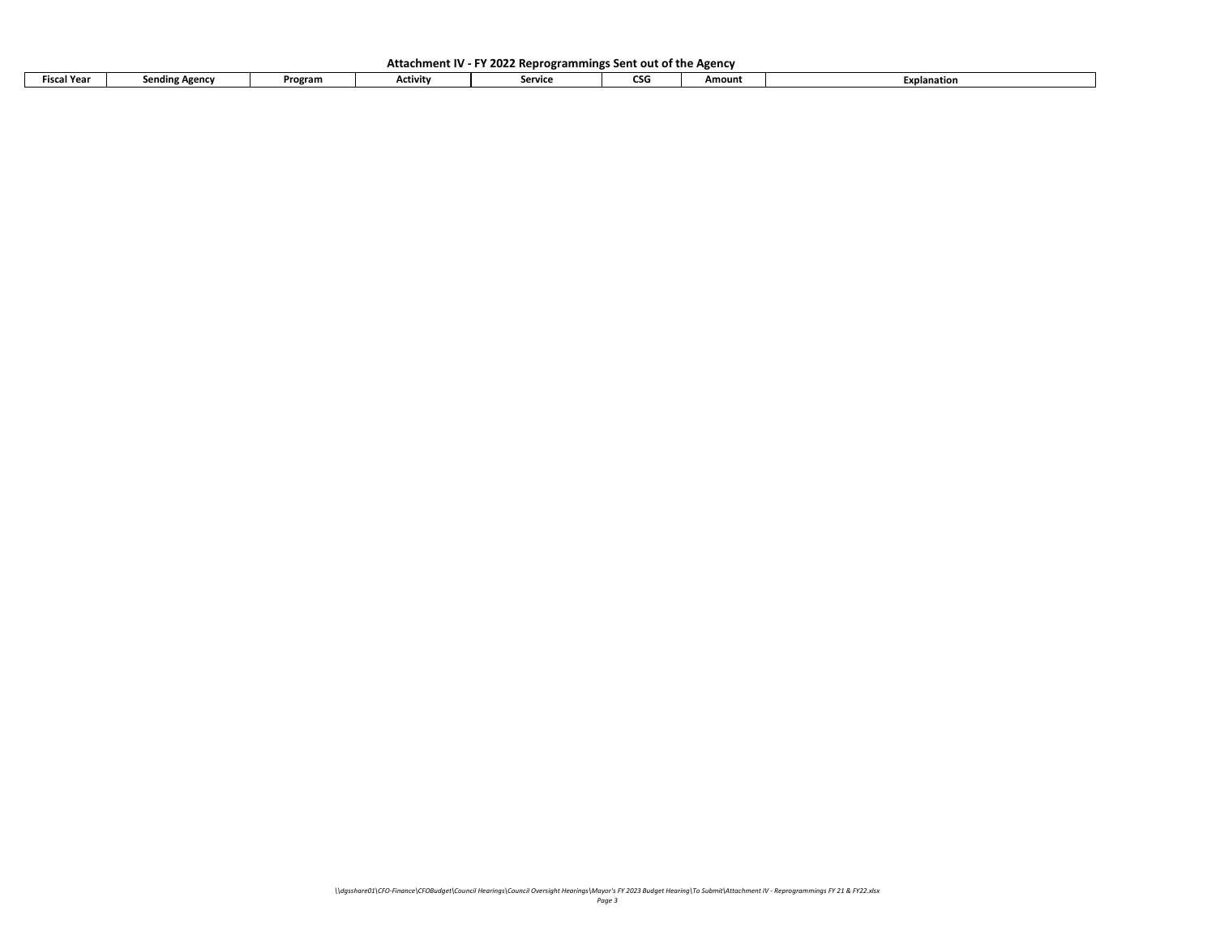| Attachmer<br>. .<br>- FY 2022 Reprogrammings Sent out of the Agency |                |          |          |         |             |        |             |  |  |
|---------------------------------------------------------------------|----------------|----------|----------|---------|-------------|--------|-------------|--|--|
| l Yea<br>Fisca                                                      | Sending Agency | Program. | Activity | Service | ar c<br>۰ ت | Amount | Explanation |  |  |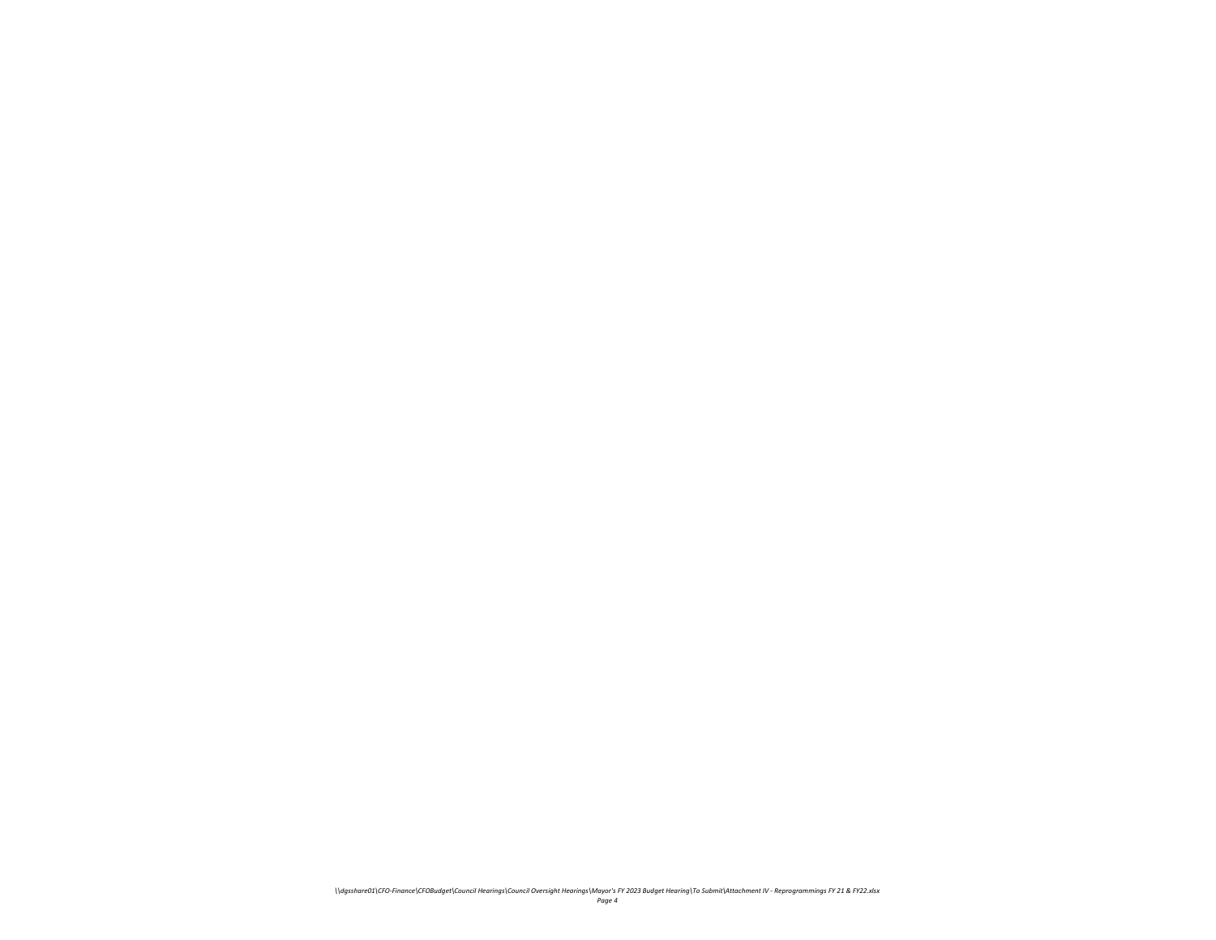*\\dgsshare01\CFO-Finance\CFOBudget\Council Hearings\Council Oversight Hearings\Mayor's FY 2023 Budget Hearing\To Submit\Attachment IV - Reprogrammings FY 21 & FY22.xlsx*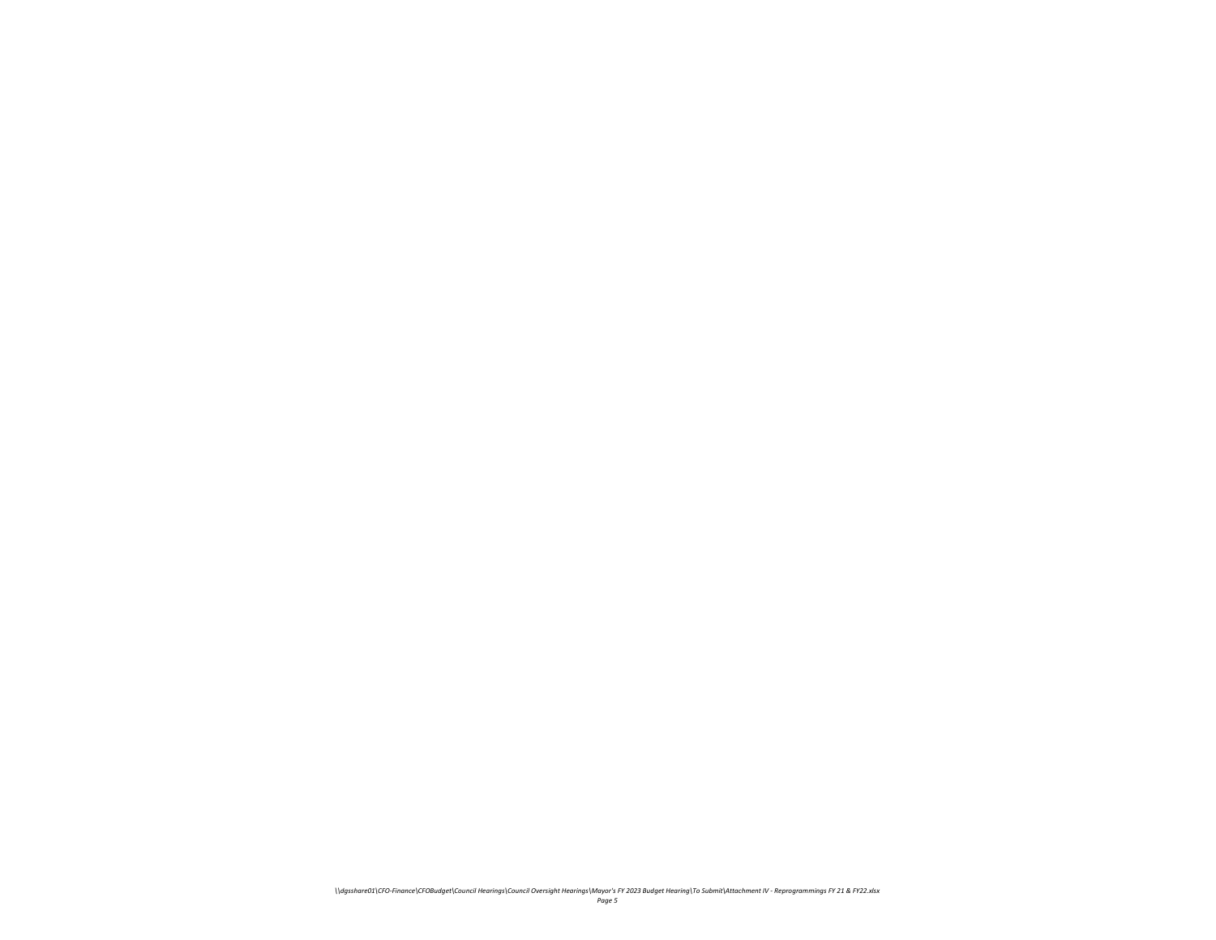*\\dgsshare01\CFO-Finance\CFOBudget\Council Hearings\Council Oversight Hearings\Mayor's FY 2023 Budget Hearing\To Submit\Attachment IV - Reprogrammings FY 21 & FY22.xlsx*